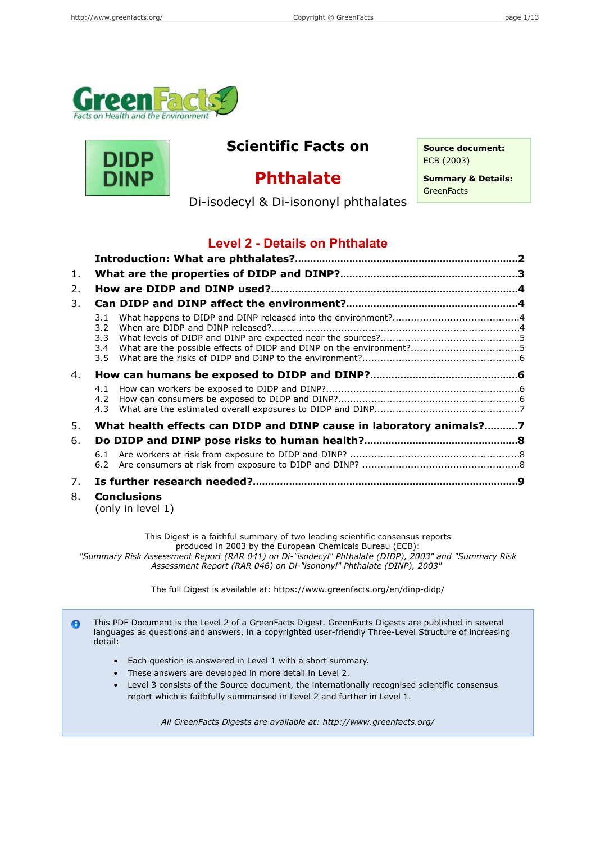



## **Scientific Facts on Source document:**

ECB (2003)

# **Phthalate**

**Summary & Details: GreenFacts** 

Di-isodecyl & Di-isononyl phthalates

## **Level 2 - Details on Phthalate**

| 1. |                                                                     |  |  |  |
|----|---------------------------------------------------------------------|--|--|--|
| 2. |                                                                     |  |  |  |
| 3. |                                                                     |  |  |  |
|    | 3.1<br>$3.2^{\circ}$<br>3.3<br>3.4<br>3.5                           |  |  |  |
| 4. |                                                                     |  |  |  |
|    | 4.1<br>4.2<br>4.3                                                   |  |  |  |
| 5. | What health effects can DIDP and DINP cause in laboratory animals?7 |  |  |  |
| 6. |                                                                     |  |  |  |
|    | 6.2                                                                 |  |  |  |
| 7. |                                                                     |  |  |  |
| 8. | <b>Conclusions</b><br>(only in level 1)                             |  |  |  |

This Digest is a faithful summary of two leading scientific consensus reports produced in 2003 by the European Chemicals Bureau (ECB): *"Summary Risk Assessment Report (RAR 041) on Di-"isodecyl" Phthalate (DIDP), 2003" and "Summary Risk Assessment Report (RAR 046) on Di-"isononyl" Phthalate (DINP), 2003"*

The full Digest is available at: https://www.greenfacts.org/en/dinp-didp/

This PDF Document is the Level 2 of a GreenFacts Digest. GreenFacts Digests are published in several  $\bullet$ languages as questions and answers, in a copyrighted user-friendly Three-Level Structure of increasing detail:

- Each question is answered in Level 1 with a short summary.
- These answers are developed in more detail in Level 2.
- Level 3 consists of the Source document, the internationally recognised scientific consensus report which is faithfully summarised in Level 2 and further in Level 1.

*All GreenFacts Digests are available at: http://www.greenfacts.org/*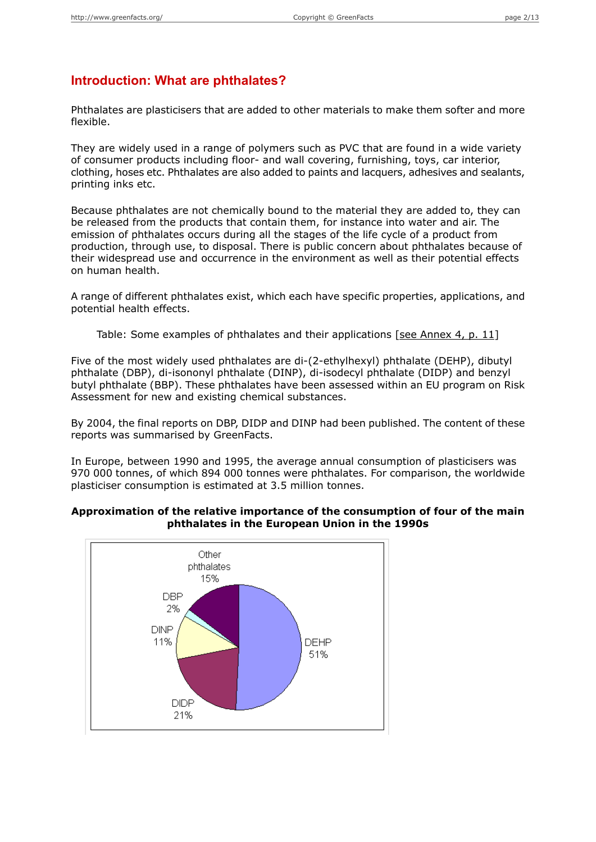### **Introduction: What are phthalates?**

Phthalates are plasticisers that are added to other materials to make them softer and more flexible.

They are widely used in a range of polymers such as PVC that are found in a wide variety of consumer products including floor- and wall covering, furnishing, toys, car interior, clothing, hoses etc. Phthalates are also added to paints and lacquers, adhesives and sealants, printing inks etc.

Because phthalates are not chemically bound to the material they are added to, they can be released from the products that contain them, for instance into water and air. The emission of phthalates occurs during all the stages of the life cycle of a product from production, through use, to disposal. There is public concern about phthalates because of their widespread use and occurrence in the environment as well as their potential effects on human health.

A range of different phthalates exist, which each have specific properties, applications, and potential health effects.

Table: Some examples of phthalates and their applications [see [Annex](#page-10-0) 4, p. 11]

Five of the most widely used phthalates are di-(2-ethylhexyl) phthalate (DEHP), dibutyl phthalate (DBP), di-isononyl phthalate (DINP), di-isodecyl phthalate (DIDP) and benzyl butyl phthalate (BBP). These phthalates have been assessed within an EU program on Risk Assessment for new and existing chemical substances.

By 2004, the final reports on DBP, DIDP and DINP had been published. The content of these reports was summarised by GreenFacts.

In Europe, between 1990 and 1995, the average annual consumption of plasticisers was 970 000 tonnes, of which 894 000 tonnes were phthalates. For comparison, the worldwide plasticiser consumption is estimated at 3.5 million tonnes.

#### **Approximation of the relative importance of the consumption of four of the main phthalates in the European Union in the 1990s**

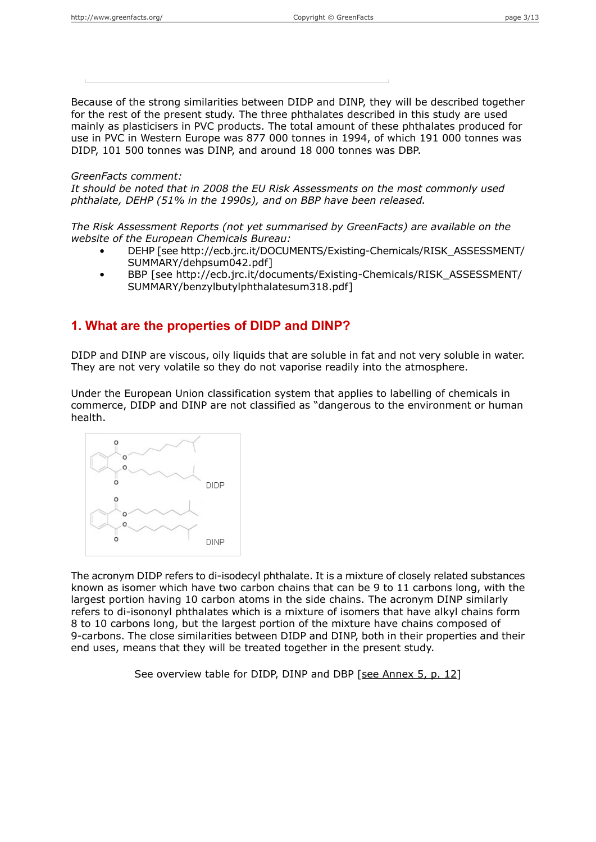Because of the strong similarities between DIDP and DINP, they will be described together for the rest of the present study. The three phthalates described in this study are used mainly as plasticisers in PVC products. The total amount of these phthalates produced for use in PVC in Western Europe was 877 000 tonnes in 1994, of which 191 000 tonnes was DIDP, 101 500 tonnes was DINP, and around 18 000 tonnes was DBP.

#### *GreenFacts comment:*

*It should be noted that in 2008 the EU Risk Assessments on the most commonly used phthalate, DEHP (51% in the 1990s), and on BBP have been released.*

*The Risk Assessment Reports (not yet summarised by GreenFacts) are available on the website of the European Chemicals Bureau:*

- DEHP [see http://ecb.jrc.it/DOCUMENTS/Existing-Chemicals/RISK\_ASSESSMENT/ SUMMARY/dehpsum042.pdf]
- BBP [see http://ecb.jrc.it/documents/Existing-Chemicals/RISK\_ASSESSMENT/ SUMMARY/benzylbutylphthalatesum318.pdf]

## **1. What are the properties of DIDP and DINP?**

DIDP and DINP are viscous, oily liquids that are soluble in fat and not very soluble in water. They are not very volatile so they do not vaporise readily into the atmosphere.

Under the European Union classification system that applies to labelling of chemicals in commerce, DIDP and DINP are not classified as "dangerous to the environment or human health.



The acronym DIDP refers to di-isodecyl phthalate. It is a mixture of closely related substances known as isomer which have two carbon chains that can be 9 to 11 carbons long, with the largest portion having 10 carbon atoms in the side chains. The acronym DINP similarly refers to di-isononyl phthalates which is a mixture of isomers that have alkyl chains form 8 to 10 carbons long, but the largest portion of the mixture have chains composed of 9-carbons. The close similarities between DIDP and DINP, both in their properties and their end uses, means that they will be treated together in the present study.

See overview table for DIDP, DINP and DBP [see [Annex](#page-11-0) 5, p. 12]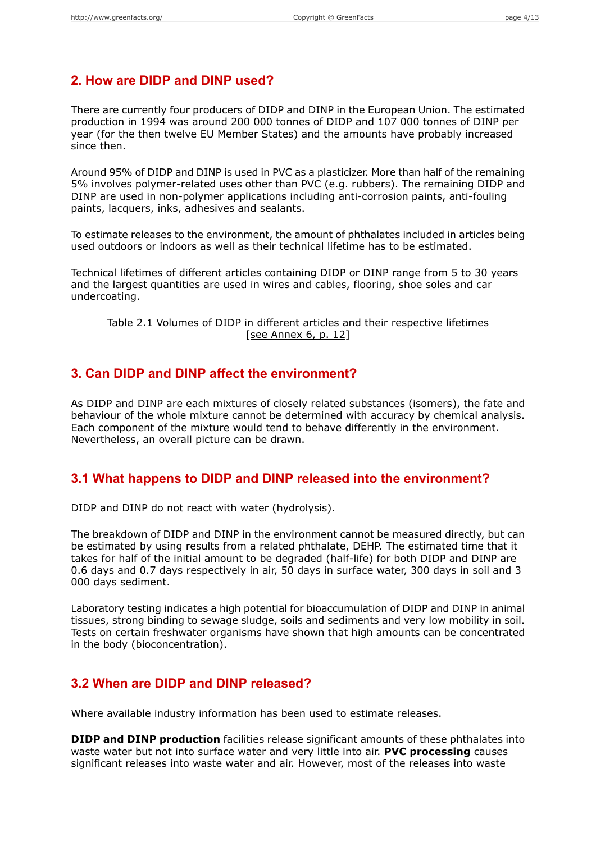## **2. How are DIDP and DINP used?**

There are currently four producers of DIDP and DINP in the European Union. The estimated production in 1994 was around 200 000 tonnes of DIDP and 107 000 tonnes of DINP per year (for the then twelve EU Member States) and the amounts have probably increased since then.

Around 95% of DIDP and DINP is used in PVC as a plasticizer. More than half of the remaining 5% involves polymer-related uses other than PVC (e.g. rubbers). The remaining DIDP and DINP are used in non-polymer applications including anti-corrosion paints, anti-fouling paints, lacquers, inks, adhesives and sealants.

To estimate releases to the environment, the amount of phthalates included in articles being used outdoors or indoors as well as their technical lifetime has to be estimated.

Technical lifetimes of different articles containing DIDP or DINP range from 5 to 30 years and the largest quantities are used in wires and cables, flooring, shoe soles and car undercoating.

Table 2.1 Volumes of DIDP in different articles and their respective lifetimes [see [Annex](#page-11-1) 6, p. 12]

#### **3. Can DIDP and DINP affect the environment?**

As DIDP and DINP are each mixtures of closely related substances (isomers), the fate and behaviour of the whole mixture cannot be determined with accuracy by chemical analysis. Each component of the mixture would tend to behave differently in the environment. Nevertheless, an overall picture can be drawn.

### **3.1 What happens to DIDP and DINP released into the environment?**

DIDP and DINP do not react with water (hydrolysis).

The breakdown of DIDP and DINP in the environment cannot be measured directly, but can be estimated by using results from a related phthalate, DEHP. The estimated time that it takes for half of the initial amount to be degraded (half-life) for both DIDP and DINP are 0.6 days and 0.7 days respectively in air, 50 days in surface water, 300 days in soil and 3 000 days sediment.

Laboratory testing indicates a high potential for bioaccumulation of DIDP and DINP in animal tissues, strong binding to sewage sludge, soils and sediments and very low mobility in soil. Tests on certain freshwater organisms have shown that high amounts can be concentrated in the body (bioconcentration).

## **3.2 When are DIDP and DINP released?**

Where available industry information has been used to estimate releases.

**DIDP and DINP production** facilities release significant amounts of these phthalates into waste water but not into surface water and very little into air. **PVC processing** causes significant releases into waste water and air. However, most of the releases into waste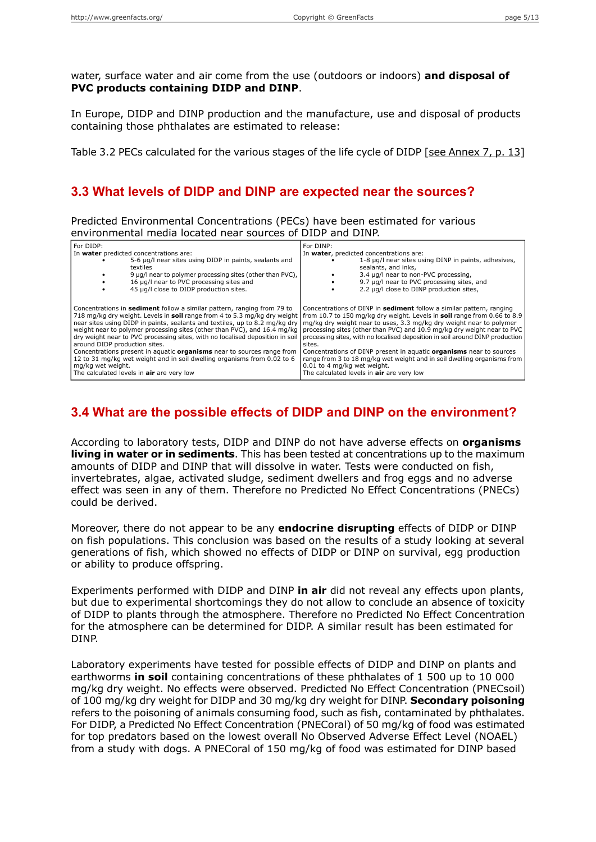water, surface water and air come from the use (outdoors or indoors) **and disposal of PVC products containing DIDP and DINP**.

In Europe, DIDP and DINP production and the manufacture, use and disposal of products containing those phthalates are estimated to release:

Table 3.2 PECs calculated for the various stages of the life cycle of DIDP [see [Annex](#page-12-0) 7, p. 13]

### **3.3 What levels of DIDP and DINP are expected near the sources?**

Predicted Environmental Concentrations (PECs) have been estimated for various environmental media located near sources of DIDP and DINP.

| For DIDP:                                                                                                                                                                                                                                                                                                                                                                                                                                                                                                                                                                                                                                                                                                                                         | For DINP:                                                                                                                                                                                                                                                                                                                                                                                                                                                                                                                                              |  |
|---------------------------------------------------------------------------------------------------------------------------------------------------------------------------------------------------------------------------------------------------------------------------------------------------------------------------------------------------------------------------------------------------------------------------------------------------------------------------------------------------------------------------------------------------------------------------------------------------------------------------------------------------------------------------------------------------------------------------------------------------|--------------------------------------------------------------------------------------------------------------------------------------------------------------------------------------------------------------------------------------------------------------------------------------------------------------------------------------------------------------------------------------------------------------------------------------------------------------------------------------------------------------------------------------------------------|--|
| In water predicted concentrations are:                                                                                                                                                                                                                                                                                                                                                                                                                                                                                                                                                                                                                                                                                                            | In water, predicted concentrations are:                                                                                                                                                                                                                                                                                                                                                                                                                                                                                                                |  |
| 5-6 µg/l near sites using DIDP in paints, sealants and                                                                                                                                                                                                                                                                                                                                                                                                                                                                                                                                                                                                                                                                                            | 1-8 µq/l near sites using DINP in paints, adhesives,                                                                                                                                                                                                                                                                                                                                                                                                                                                                                                   |  |
| textiles                                                                                                                                                                                                                                                                                                                                                                                                                                                                                                                                                                                                                                                                                                                                          | sealants, and inks,                                                                                                                                                                                                                                                                                                                                                                                                                                                                                                                                    |  |
| 9 µg/l near to polymer processing sites (other than PVC),                                                                                                                                                                                                                                                                                                                                                                                                                                                                                                                                                                                                                                                                                         | 3.4 µg/l near to non-PVC processing,                                                                                                                                                                                                                                                                                                                                                                                                                                                                                                                   |  |
| 16 µg/l near to PVC processing sites and                                                                                                                                                                                                                                                                                                                                                                                                                                                                                                                                                                                                                                                                                                          | 9.7 µg/l near to PVC processing sites, and                                                                                                                                                                                                                                                                                                                                                                                                                                                                                                             |  |
| 45 µg/l close to DIDP production sites.                                                                                                                                                                                                                                                                                                                                                                                                                                                                                                                                                                                                                                                                                                           | 2.2 µg/l close to DINP production sites,                                                                                                                                                                                                                                                                                                                                                                                                                                                                                                               |  |
| Concentrations in <b>sediment</b> follow a similar pattern, ranging from 79 to<br>718 mg/kg dry weight. Levels in soil range from 4 to 5.3 mg/kg dry weight   from 10.7 to 150 mg/kg dry weight. Levels in soil range from 0.66 to 8.9<br>near sites using DIDP in paints, sealants and textiles, up to 8.2 mg/kg dry<br>weight near to polymer processing sites (other than PVC), and 16.4 mg/kg<br>dry weight near to PVC processing sites, with no localised deposition in soil<br>around DIDP production sites.<br>Concentrations present in aquatic <b>organisms</b> near to sources range from<br>12 to 31 mg/kg wet weight and in soil dwelling organisms from 0.02 to 6<br>mg/kg wet weight.<br>The calculated levels in air are very low | Concentrations of DINP in sediment follow a similar pattern, ranging<br>mg/kg dry weight near to uses, 3.3 mg/kg dry weight near to polymer<br>processing sites (other than PVC) and 10.9 mg/kg dry weight near to PVC<br>processing sites, with no localised deposition in soil around DINP production<br>sites.<br>Concentrations of DINP present in aquatic <b>organisms</b> near to sources<br>range from 3 to 18 mg/kg wet weight and in soil dwelling organisms from<br>0.01 to 4 mg/kg wet weight.<br>The calculated levels in air are very low |  |

## **3.4 What are the possible effects of DIDP and DINP on the environment?**

According to laboratory tests, DIDP and DINP do not have adverse effects on **organisms living in water or in sediments**. This has been tested at concentrations up to the maximum amounts of DIDP and DINP that will dissolve in water. Tests were conducted on fish, invertebrates, algae, activated sludge, sediment dwellers and frog eggs and no adverse effect was seen in any of them. Therefore no Predicted No Effect Concentrations (PNECs) could be derived.

Moreover, there do not appear to be any **endocrine disrupting** effects of DIDP or DINP on fish populations. This conclusion was based on the results of a study looking at several generations of fish, which showed no effects of DIDP or DINP on survival, egg production or ability to produce offspring.

Experiments performed with DIDP and DINP **in air** did not reveal any effects upon plants, but due to experimental shortcomings they do not allow to conclude an absence of toxicity of DIDP to plants through the atmosphere. Therefore no Predicted No Effect Concentration for the atmosphere can be determined for DIDP. A similar result has been estimated for DINP.

Laboratory experiments have tested for possible effects of DIDP and DINP on plants and earthworms **in soil** containing concentrations of these phthalates of 1 500 up to 10 000 mg/kg dry weight. No effects were observed. Predicted No Effect Concentration (PNECsoil) of 100 mg/kg dry weight for DIDP and 30 mg/kg dry weight for DINP. **Secondary poisoning** refers to the poisoning of animals consuming food, such as fish, contaminated by phthalates. For DIDP, a Predicted No Effect Concentration (PNECoral) of 50 mg/kg of food was estimated for top predators based on the lowest overall No Observed Adverse Effect Level (NOAEL) from a study with dogs. A PNECoral of 150 mg/kg of food was estimated for DINP based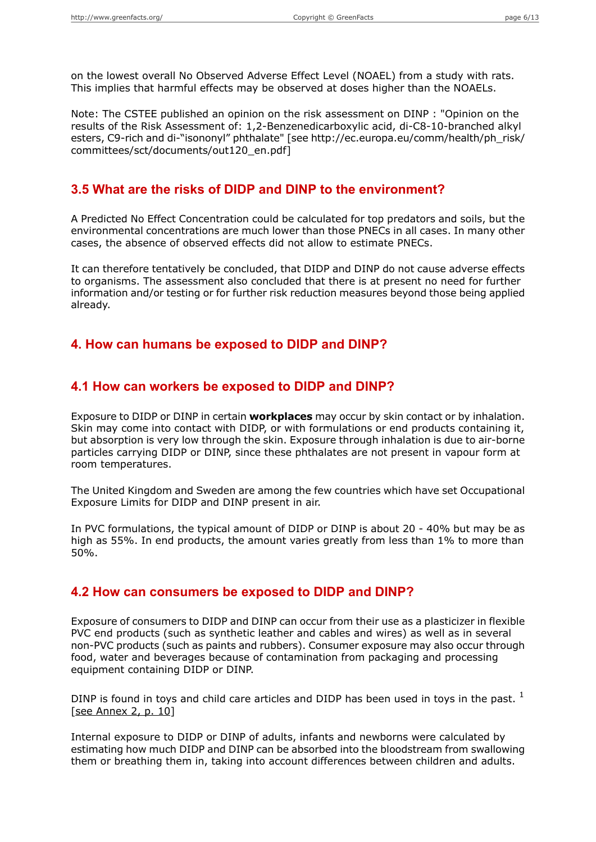on the lowest overall No Observed Adverse Effect Level (NOAEL) from a study with rats. This implies that harmful effects may be observed at doses higher than the NOAELs.

Note: The CSTEE published an opinion on the risk assessment on DINP : "Opinion on the results of the Risk Assessment of: 1,2-Benzenedicarboxylic acid, di-C8-10-branched alkyl esters, C9-rich and di-"isononyl" phthalate" [see http://ec.europa.eu/comm/health/ph\_risk/ committees/sct/documents/out120\_en.pdf]

### **3.5 What are the risks of DIDP and DINP to the environment?**

A Predicted No Effect Concentration could be calculated for top predators and soils, but the environmental concentrations are much lower than those PNECs in all cases. In many other cases, the absence of observed effects did not allow to estimate PNECs.

It can therefore tentatively be concluded, that DIDP and DINP do not cause adverse effects to organisms. The assessment also concluded that there is at present no need for further information and/or testing or for further risk reduction measures beyond those being applied already.

### **4. How can humans be exposed to DIDP and DINP?**

#### **4.1 How can workers be exposed to DIDP and DINP?**

Exposure to DIDP or DINP in certain **workplaces** may occur by skin contact or by inhalation. Skin may come into contact with DIDP, or with formulations or end products containing it, but absorption is very low through the skin. Exposure through inhalation is due to air-borne particles carrying DIDP or DINP, since these phthalates are not present in vapour form at room temperatures.

The United Kingdom and Sweden are among the few countries which have set Occupational Exposure Limits for DIDP and DINP present in air.

In PVC formulations, the typical amount of DIDP or DINP is about 20 - 40% but may be as high as 55%. In end products, the amount varies greatly from less than 1% to more than 50%.

#### **4.2 How can consumers be exposed to DIDP and DINP?**

Exposure of consumers to DIDP and DINP can occur from their use as a plasticizer in flexible PVC end products (such as synthetic leather and cables and wires) as well as in several non-PVC products (such as paints and rubbers). Consumer exposure may also occur through food, water and beverages because of contamination from packaging and processing equipment containing DIDP or DINP.

DINP is found in toys and child care articles and DIDP has been used in toys in the past.  $<sup>1</sup>$ </sup> [see [Annex](#page-9-0) 2, p. 10]

Internal exposure to DIDP or DINP of adults, infants and newborns were calculated by estimating how much DIDP and DINP can be absorbed into the bloodstream from swallowing them or breathing them in, taking into account differences between children and adults.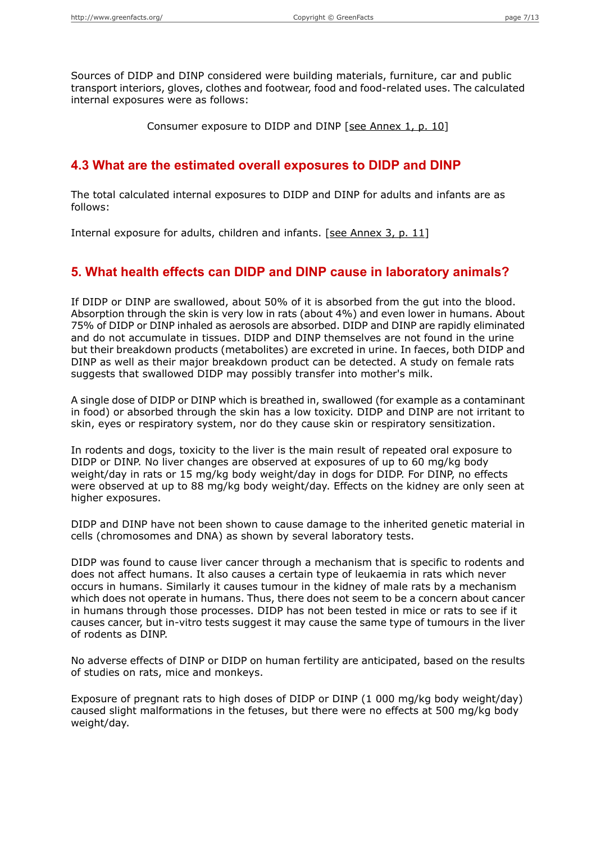Sources of DIDP and DINP considered were building materials, furniture, car and public transport interiors, gloves, clothes and footwear, food and food-related uses. The calculated internal exposures were as follows:

Consumer exposure to DIDP and DINP [see [Annex](#page-9-1) 1, p. 10]

### **4.3 What are the estimated overall exposures to DIDP and DINP**

The total calculated internal exposures to DIDP and DINP for adults and infants are as follows:

Internal exposure for adults, children and infants. [see [Annex](#page-10-1) 3, p. 11]

## **5. What health effects can DIDP and DINP cause in laboratory animals?**

If DIDP or DINP are swallowed, about 50% of it is absorbed from the gut into the blood. Absorption through the skin is very low in rats (about 4%) and even lower in humans. About 75% of DIDP or DINP inhaled as aerosols are absorbed. DIDP and DINP are rapidly eliminated and do not accumulate in tissues. DIDP and DINP themselves are not found in the urine but their breakdown products (metabolites) are excreted in urine. In faeces, both DIDP and DINP as well as their major breakdown product can be detected. A study on female rats suggests that swallowed DIDP may possibly transfer into mother's milk.

A single dose of DIDP or DINP which is breathed in, swallowed (for example as a contaminant in food) or absorbed through the skin has a low toxicity. DIDP and DINP are not irritant to skin, eyes or respiratory system, nor do they cause skin or respiratory sensitization.

In rodents and dogs, toxicity to the liver is the main result of repeated oral exposure to DIDP or DINP. No liver changes are observed at exposures of up to 60 mg/kg body weight/day in rats or 15 mg/kg body weight/day in dogs for DIDP. For DINP, no effects were observed at up to 88 mg/kg body weight/day. Effects on the kidney are only seen at higher exposures.

DIDP and DINP have not been shown to cause damage to the inherited genetic material in cells (chromosomes and DNA) as shown by several laboratory tests.

DIDP was found to cause liver cancer through a mechanism that is specific to rodents and does not affect humans. It also causes a certain type of leukaemia in rats which never occurs in humans. Similarly it causes tumour in the kidney of male rats by a mechanism which does not operate in humans. Thus, there does not seem to be a concern about cancer in humans through those processes. DIDP has not been tested in mice or rats to see if it causes cancer, but in-vitro tests suggest it may cause the same type of tumours in the liver of rodents as DINP.

No adverse effects of DINP or DIDP on human fertility are anticipated, based on the results of studies on rats, mice and monkeys.

Exposure of pregnant rats to high doses of DIDP or DINP (1 000 mg/kg body weight/day) caused slight malformations in the fetuses, but there were no effects at 500 mg/kg body weight/day.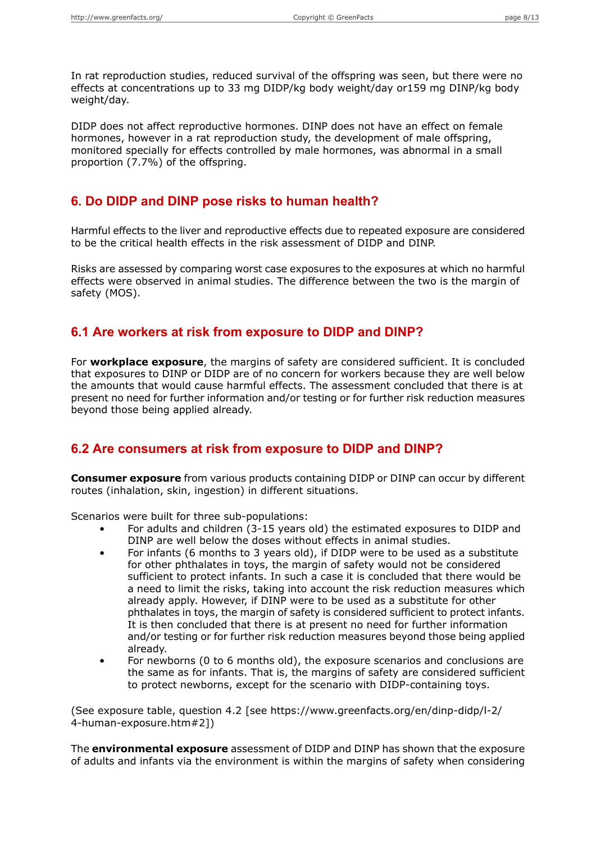In rat reproduction studies, reduced survival of the offspring was seen, but there were no effects at concentrations up to 33 mg DIDP/kg body weight/day or159 mg DINP/kg body weight/day.

DIDP does not affect reproductive hormones. DINP does not have an effect on female hormones, however in a rat reproduction study, the development of male offspring, monitored specially for effects controlled by male hormones, was abnormal in a small proportion (7.7%) of the offspring.

### **6. Do DIDP and DINP pose risks to human health?**

Harmful effects to the liver and reproductive effects due to repeated exposure are considered to be the critical health effects in the risk assessment of DIDP and DINP.

Risks are assessed by comparing worst case exposures to the exposures at which no harmful effects were observed in animal studies. The difference between the two is the margin of safety (MOS).

#### **6.1 Are workers at risk from exposure to DIDP and DINP?**

For **workplace exposure**, the margins of safety are considered sufficient. It is concluded that exposures to DINP or DIDP are of no concern for workers because they are well below the amounts that would cause harmful effects. The assessment concluded that there is at present no need for further information and/or testing or for further risk reduction measures beyond those being applied already.

## **6.2 Are consumers at risk from exposure to DIDP and DINP?**

**Consumer exposure** from various products containing DIDP or DINP can occur by different routes (inhalation, skin, ingestion) in different situations.

Scenarios were built for three sub-populations:

- For adults and children (3-15 years old) the estimated exposures to DIDP and DINP are well below the doses without effects in animal studies.
- For infants (6 months to 3 years old), if DIDP were to be used as a substitute for other phthalates in toys, the margin of safety would not be considered sufficient to protect infants. In such a case it is concluded that there would be a need to limit the risks, taking into account the risk reduction measures which already apply. However, if DINP were to be used as a substitute for other phthalates in toys, the margin of safety is considered sufficient to protect infants. It is then concluded that there is at present no need for further information and/or testing or for further risk reduction measures beyond those being applied already.
- For newborns (0 to 6 months old), the exposure scenarios and conclusions are the same as for infants. That is, the margins of safety are considered sufficient to protect newborns, except for the scenario with DIDP-containing toys.

(See exposure table, question 4.2 [see https://www.greenfacts.org/en/dinp-didp/l-2/ 4-human-exposure.htm#2])

The **environmental exposure** assessment of DIDP and DINP has shown that the exposure of adults and infants via the environment is within the margins of safety when considering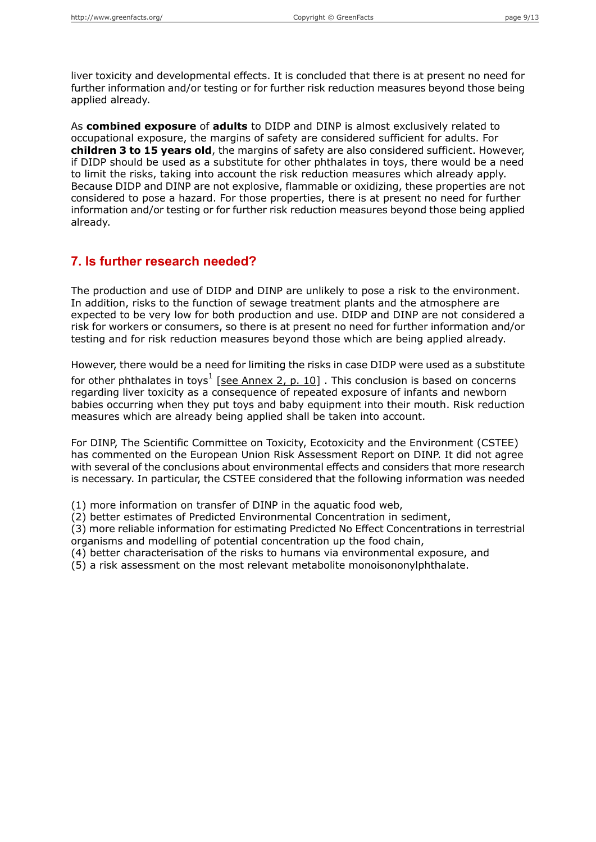liver toxicity and developmental effects. It is concluded that there is at present no need for further information and/or testing or for further risk reduction measures beyond those being applied already.

As **combined exposure** of **adults** to DIDP and DINP is almost exclusively related to occupational exposure, the margins of safety are considered sufficient for adults. For **children 3 to 15 years old**, the margins of safety are also considered sufficient. However, if DIDP should be used as a substitute for other phthalates in toys, there would be a need to limit the risks, taking into account the risk reduction measures which already apply. Because DIDP and DINP are not explosive, flammable or oxidizing, these properties are not considered to pose a hazard. For those properties, there is at present no need for further information and/or testing or for further risk reduction measures beyond those being applied already.

### **7. Is further research needed?**

The production and use of DIDP and DINP are unlikely to pose a risk to the environment. In addition, risks to the function of sewage treatment plants and the atmosphere are expected to be very low for both production and use. DIDP and DINP are not considered a risk for workers or consumers, so there is at present no need for further information and/or testing and for risk reduction measures beyond those which are being applied already.

However, there would be a need for limiting the risks in case DIDP were used as a substitute

for other phthalates in toys<sup>1</sup> [see [Annex](#page-9-0) 2, p. 10] . This conclusion is based on concerns regarding liver toxicity as a consequence of repeated exposure of infants and newborn babies occurring when they put toys and baby equipment into their mouth. Risk reduction measures which are already being applied shall be taken into account.

For DINP, The Scientific Committee on Toxicity, Ecotoxicity and the Environment (CSTEE) has commented on the European Union Risk Assessment Report on DINP. It did not agree with several of the conclusions about environmental effects and considers that more research is necessary. In particular, the CSTEE considered that the following information was needed

(1) more information on transfer of DINP in the aquatic food web,

(2) better estimates of Predicted Environmental Concentration in sediment,

(3) more reliable information for estimating Predicted No Effect Concentrations in terrestrial organisms and modelling of potential concentration up the food chain,

(4) better characterisation of the risks to humans via environmental exposure, and

(5) a risk assessment on the most relevant metabolite monoisononylphthalate.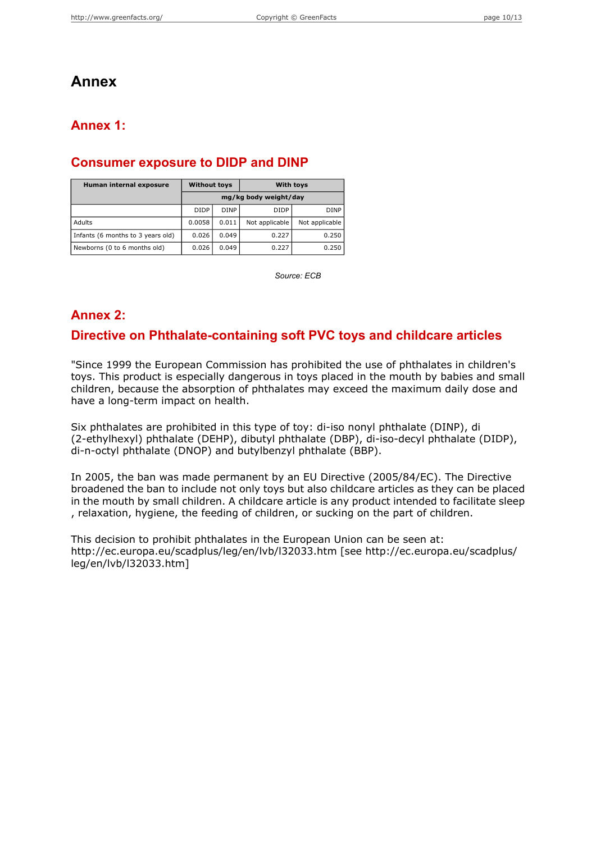## **Annex**

## <span id="page-9-1"></span>**Annex 1:**

### **Consumer exposure to DIDP and DINP**

| Human internal exposure           | <b>Without toys</b>   |             | <b>With toys</b> |                |  |
|-----------------------------------|-----------------------|-------------|------------------|----------------|--|
|                                   | mg/kg body weight/day |             |                  |                |  |
|                                   | <b>DIDP</b>           | <b>DINP</b> | <b>DIDP</b>      | <b>DINP</b>    |  |
| Adults                            | 0.0058                | 0.011       | Not applicable   | Not applicable |  |
| Infants (6 months to 3 years old) | 0.026                 | 0.049       | 0.227            | 0.250          |  |
| Newborns (0 to 6 months old)      | 0.026                 | 0.049       | 0.227            | 0.250          |  |

*Source: ECB*

## <span id="page-9-0"></span>**Annex 2:**

### **Directive on Phthalate-containing soft PVC toys and childcare articles**

"Since 1999 the European Commission has prohibited the use of phthalates in children's toys. This product is especially dangerous in toys placed in the mouth by babies and small children, because the absorption of phthalates may exceed the maximum daily dose and have a long-term impact on health.

Six phthalates are prohibited in this type of toy: di-iso nonyl phthalate (DINP), di (2-ethylhexyl) phthalate (DEHP), dibutyl phthalate (DBP), di-iso-decyl phthalate (DIDP), di-n-octyl phthalate (DNOP) and butylbenzyl phthalate (BBP).

In 2005, the ban was made permanent by an EU Directive (2005/84/EC). The Directive broadened the ban to include not only toys but also childcare articles as they can be placed in the mouth by small children. A childcare article is any product intended to facilitate sleep , relaxation, hygiene, the feeding of children, or sucking on the part of children.

This decision to prohibit phthalates in the European Union can be seen at: http://ec.europa.eu/scadplus/leg/en/lvb/l32033.htm [see http://ec.europa.eu/scadplus/ leg/en/lvb/l32033.htm]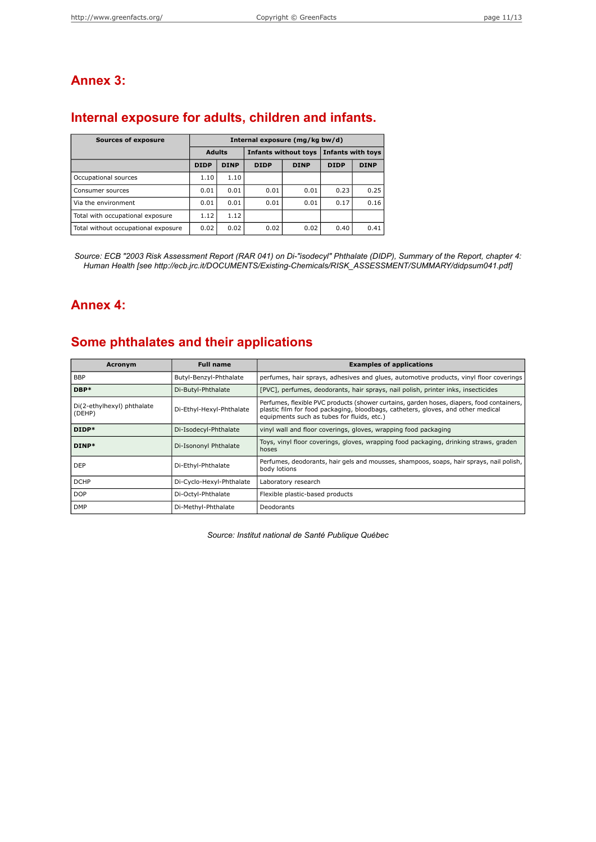## <span id="page-10-1"></span>**Annex 3:**

## **Internal exposure for adults, children and infants.**

| <b>Sources of exposure</b>          | Internal exposure (mg/kg bw/d) |             |                             |             |                          |             |
|-------------------------------------|--------------------------------|-------------|-----------------------------|-------------|--------------------------|-------------|
|                                     | <b>Adults</b>                  |             | <b>Infants without toys</b> |             | <b>Infants with toys</b> |             |
|                                     | <b>DIDP</b>                    | <b>DINP</b> | <b>DIDP</b>                 | <b>DINP</b> | <b>DIDP</b>              | <b>DINP</b> |
| Occupational sources                | 1.10                           | 1.10        |                             |             |                          |             |
| Consumer sources                    | 0.01                           | 0.01        | 0.01                        | 0.01        | 0.23                     | 0.25        |
| Via the environment                 | 0.01                           | 0.01        | 0.01                        | 0.01        | 0.17                     | 0.16        |
| Total with occupational exposure    | 1.12                           | 1.12        |                             |             |                          |             |
| Total without occupational exposure | 0.02                           | 0.02        | 0.02                        | 0.02        | 0.40                     | 0.41        |

<span id="page-10-0"></span>Source: ECB "2003 Risk Assessment Report (RAR 041) on Di-"isodecyl" Phthalate (DIDP), Summary of the Report, chapter 4: *Human Health [see http://ecb.jrc.it/DOCUMENTS/Existing-Chemicals/RISK\_ASSESSMENT/SUMMARY/didpsum041.pdf]*

## **Annex 4:**

## **Some phthalates and their applications**

| Acronym                              | <b>Full name</b>         | <b>Examples of applications</b>                                                                                                                                                                                             |
|--------------------------------------|--------------------------|-----------------------------------------------------------------------------------------------------------------------------------------------------------------------------------------------------------------------------|
| <b>BBP</b>                           | Butyl-Benzyl-Phthalate   | perfumes, hair sprays, adhesives and glues, automotive products, vinyl floor coverings                                                                                                                                      |
| DBP*                                 | Di-Butyl-Phthalate       | [PVC], perfumes, deodorants, hair sprays, nail polish, printer inks, insecticides                                                                                                                                           |
| Di(2-ethylhexyl) phthalate<br>(DEHP) | Di-Ethyl-Hexyl-Phthalate | Perfumes, flexible PVC products (shower curtains, garden hoses, diapers, food containers,<br>plastic film for food packaging, bloodbags, catheters, gloves, and other medical<br>equipments such as tubes for fluids, etc.) |
| DIDP*                                | Di-Isodecyl-Phthalate    | vinyl wall and floor coverings, gloves, wrapping food packaging                                                                                                                                                             |
| DINP*                                | Di-Isononyl Phthalate    | Toys, vinyl floor coverings, gloves, wrapping food packaging, drinking straws, graden<br>hoses                                                                                                                              |
| l DEP                                | Di-Ethyl-Phthalate       | Perfumes, deodorants, hair gels and mousses, shampoos, soaps, hair sprays, nail polish,  <br>body lotions                                                                                                                   |
| <b>DCHP</b>                          | Di-Cyclo-Hexyl-Phthalate | Laboratory research                                                                                                                                                                                                         |
| l DOP                                | Di-Octyl-Phthalate       | Flexible plastic-based products                                                                                                                                                                                             |
| <b>DMP</b>                           | Di-Methyl-Phthalate      | Deodorants                                                                                                                                                                                                                  |

*Source: Institut national de Santé Publique Québec*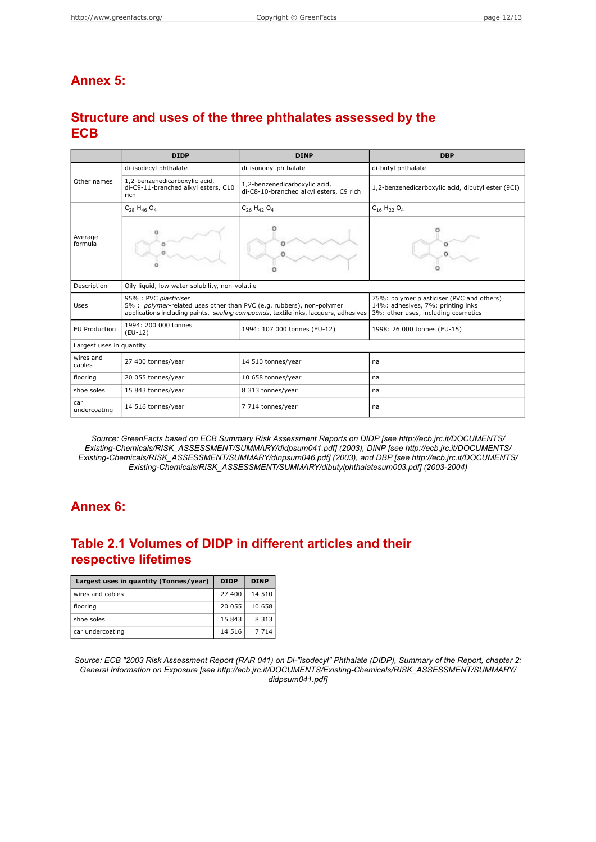## <span id="page-11-0"></span>**Annex 5:**

## **Structure and uses of the three phthalates assessed by the ECB**

|                          | <b>DIDP</b>                                                                                                                                                                          | <b>DINP</b>                  | <b>DBP</b>                                                                                                            |  |  |  |  |
|--------------------------|--------------------------------------------------------------------------------------------------------------------------------------------------------------------------------------|------------------------------|-----------------------------------------------------------------------------------------------------------------------|--|--|--|--|
|                          | di-isononyl phthalate<br>di-isodecyl phthalate                                                                                                                                       |                              | di-butyl phthalate                                                                                                    |  |  |  |  |
| Other names              | 1,2-benzenedicarboxylic acid,<br>1,2-benzenedicarboxylic acid,<br>di-C9-11-branched alkyl esters, C10<br>di-C8-10-branched alkyl esters, C9 rich<br>rich                             |                              | 1,2-benzenedicarboxylic acid, dibutyl ester (9CI)                                                                     |  |  |  |  |
|                          | $C_{28}$ H <sub>46</sub> O <sub>4</sub><br>$C_{26}H_{42}O_4$                                                                                                                         |                              | $C_{16}$ H <sub>22</sub> O <sub>4</sub>                                                                               |  |  |  |  |
| Average<br>formula       |                                                                                                                                                                                      |                              |                                                                                                                       |  |  |  |  |
| Description              | Oily liquid, low water solubility, non-volatile                                                                                                                                      |                              |                                                                                                                       |  |  |  |  |
| Uses                     | 95% : PVC plasticiser<br>5% : polymer-related uses other than PVC (e.g. rubbers), non-polymer<br>applications including paints, sealing compounds, textile inks, lacquers, adhesives |                              | 75%: polymer plasticiser (PVC and others)<br>14%: adhesives, 7%: printing inks<br>3%: other uses, including cosmetics |  |  |  |  |
| <b>EU Production</b>     | 1994: 200 000 tonnes<br>$(EU-12)$                                                                                                                                                    | 1994: 107 000 tonnes (EU-12) | 1998: 26 000 tonnes (EU-15)                                                                                           |  |  |  |  |
| Largest uses in quantity |                                                                                                                                                                                      |                              |                                                                                                                       |  |  |  |  |
| wires and<br>cables      | 27 400 tonnes/year                                                                                                                                                                   | 14 510 tonnes/year           | na                                                                                                                    |  |  |  |  |
| flooring                 | 20 055 tonnes/year                                                                                                                                                                   | 10 658 tonnes/year           | na                                                                                                                    |  |  |  |  |
| shoe soles               | 15 843 tonnes/year                                                                                                                                                                   | 8 313 tonnes/year            | na                                                                                                                    |  |  |  |  |
| car<br>undercoating      | 14 516 tonnes/year                                                                                                                                                                   | 7 714 tonnes/year            | na                                                                                                                    |  |  |  |  |

<span id="page-11-1"></span>*Source: GreenFacts based on ECB Summary Risk Assessment Reports on DIDP [see http://ecb.jrc.it/DOCUMENTS/ Existing-Chemicals/RISK\_ASSESSMENT/SUMMARY/didpsum041.pdf] (2003), DINP [see http://ecb.jrc.it/DOCUMENTS/ Existing-Chemicals/RISK\_ASSESSMENT/SUMMARY/dinpsum046.pdf] (2003), and DBP [see http://ecb.jrc.it/DOCUMENTS/ Existing-Chemicals/RISK\_ASSESSMENT/SUMMARY/dibutylphthalatesum003.pdf] (2003-2004)*

## **Annex 6:**

## **Table 2.1 Volumes of DIDP in different articles and their respective lifetimes**

| Largest uses in quantity (Tonnes/year) | <b>DIDP</b> | <b>DINP</b> |
|----------------------------------------|-------------|-------------|
| wires and cables                       | 27 400      | 14 510      |
| flooring                               | 20 055      | 10 658      |
| shoe soles                             | 15 843      | 8 3 1 3     |
| car undercoating                       | 14 5 16     | 7 7 1 4     |

Source: ECB "2003 Risk Assessment Report (RAR 041) on Di-"isodecyl" Phthalate (DIDP), Summary of the Report, chapter 2: *General Information on Exposure [see http://ecb.jrc.it/DOCUMENTS/Existing-Chemicals/RISK\_ASSESSMENT/SUMMARY/ didpsum041.pdf]*